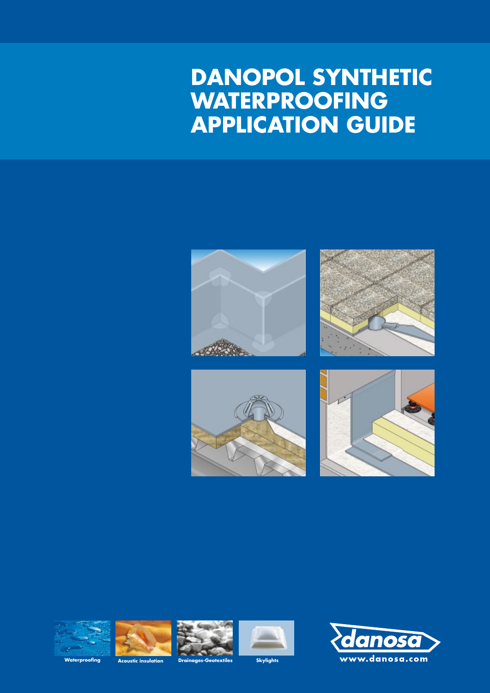# **DANOPOL SYNTHETIC WATERPROOFING APPLICATION GUIDE**













**Waterproofing Acoustic insulation Drainages-Geotextiles Skylights**



anoso www.danosa.com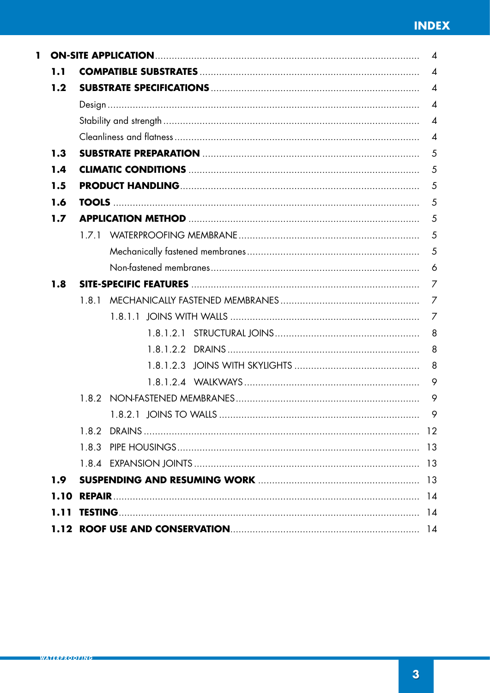| ı. |                  |                        | $\overline{4}$ |
|----|------------------|------------------------|----------------|
|    | 1.1              |                        | $\overline{4}$ |
|    | 1.2              |                        | $\overline{4}$ |
|    |                  |                        | $\overline{4}$ |
|    |                  |                        | $\overline{4}$ |
|    |                  |                        | $\overline{4}$ |
|    | 1.3              |                        | 5              |
|    | 1.4              |                        | 5              |
|    | 1.5              |                        | 5              |
|    | 1.6              |                        | 5              |
|    | 1.7              |                        | 5              |
|    |                  |                        | 5              |
|    |                  |                        | $\overline{5}$ |
|    |                  |                        | 6              |
|    | 1.8              |                        | 7              |
|    |                  | 1.8.1                  | 7              |
|    |                  |                        | $\overline{7}$ |
|    |                  |                        | 8              |
|    |                  |                        | 8              |
|    |                  |                        | 8              |
|    |                  |                        | 9              |
|    |                  |                        | 9              |
|    |                  | 1 8.2.1 IOINS TO WALLS | 9              |
|    |                  |                        |                |
|    |                  |                        |                |
|    |                  |                        |                |
|    | 1.9 <sub>1</sub> |                        |                |
|    | 1.10             |                        |                |
|    | 1.11             |                        |                |
|    |                  |                        |                |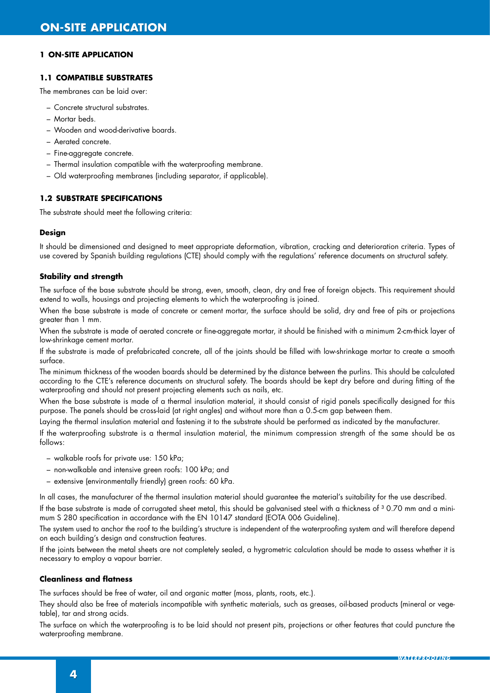# **1.1 COMPATIBLE SUBSTRATES**

The membranes can be laid over:

- Concrete structural substrates.
- Mortar beds.
- Wooden and wood-derivative boards.
- Aerated concrete.
- Fine-aggregate concrete.
- Thermal insulation compatible with the waterproofing membrane.
- Old waterproofing membranes (including separator, if applicable).

# **1.2 SUBSTRATE SPECIFICATIONS**

The substrate should meet the following criteria:

#### **Design**

It should be dimensioned and designed to meet appropriate deformation, vibration, cracking and deterioration criteria. Types of use covered by Spanish building regulations (CTE) should comply with the regulations' reference documents on structural safety.

#### **Stability and strength**

The surface of the base substrate should be strong, even, smooth, clean, dry and free of foreign objects. This requirement should extend to walls, housings and projecting elements to which the waterproofing is joined.

When the base substrate is made of concrete or cement mortar, the surface should be solid, dry and free of pits or projections greater than 1 mm.

When the substrate is made of aerated concrete or fine-aggregate mortar, it should be finished with a minimum 2-cm-thick layer of low-shrinkage cement mortar.

If the substrate is made of prefabricated concrete, all of the joints should be filled with low-shrinkage mortar to create a smooth surface.

The minimum thickness of the wooden boards should be determined by the distance between the purlins. This should be calculated according to the CTE's reference documents on structural safety. The boards should be kept dry before and during fitting of the waterproofing and should not present projecting elements such as nails, etc.

When the base substrate is made of a thermal insulation material, it should consist of rigid panels specifically designed for this purpose. The panels should be cross-laid (at right angles) and without more than a 0.5-cm gap between them.

Laying the thermal insulation material and fastening it to the substrate should be performed as indicated by the manufacturer.

If the waterproofing substrate is a thermal insulation material, the minimum compression strength of the same should be as follows:

- walkable roofs for private use: 150 kPa;
- non-walkable and intensive green roofs: 100 kPa; and
- extensive (environmentally friendly) green roofs: 60 kPa.

In all cases, the manufacturer of the thermal insulation material should guarantee the material's suitability for the use described.

If the base substrate is made of corrugated sheet metal, this should be galvanised steel with a thickness of  $3$  0.70 mm and a minimum S 280 specification in accordance with the EN 10147 standard (EOTA 006 Guideline).

The system used to anchor the roof to the building's structure is independent of the waterproofing system and will therefore depend on each building's design and construction features.

If the joints between the metal sheets are not completely sealed, a hygrometric calculation should be made to assess whether it is necessary to employ a vapour barrier.

# **Cleanliness and flatness**

The surfaces should be free of water, oil and organic matter (moss, plants, roots, etc.).

They should also be free of materials incompatible with synthetic materials, such as greases, oil-based products (mineral or vegetable), tar and strong acids.

The surface on which the waterproofing is to be laid should not present pits, projections or other features that could puncture the waterproofing membrane.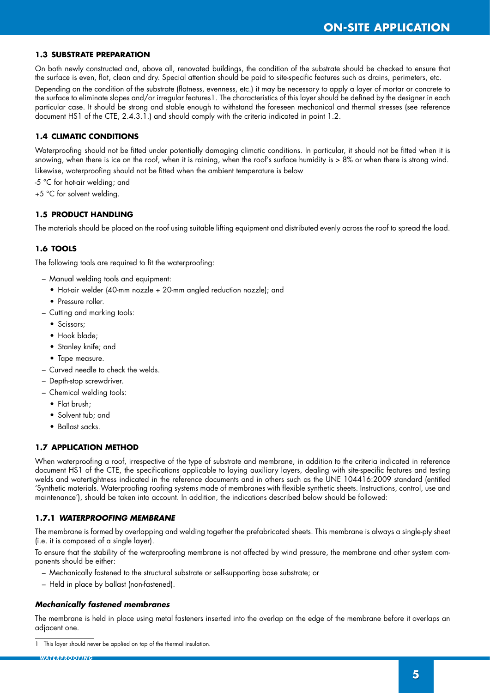# **1.3 SUBSTRATE PREPARATION**

On both newly constructed and, above all, renovated buildings, the condition of the substrate should be checked to ensure that the surface is even, flat, clean and dry. Special attention should be paid to site-specific features such as drains, perimeters, etc.

Depending on the condition of the substrate (flatness, evenness, etc.) it may be necessary to apply a layer of mortar or concrete to the surface to eliminate slopes and/or irregular features1. The characteristics of this layer should be defined by the designer in each particular case. It should be strong and stable enough to withstand the foreseen mechanical and thermal stresses (see reference document HS1 of the CTE, 2.4.3.1.) and should comply with the criteria indicated in point 1.2.

# **1.4 CLIMATIC CONDITIONS**

Waterproofing should not be fitted under potentially damaging climatic conditions. In particular, it should not be fitted when it is snowing, when there is ice on the roof, when it is raining, when the roof's surface humidity is > 8% or when there is strong wind. Likewise, waterproofing should not be fitted when the ambient temperature is below

-5 °C for hot-air welding; and

+5 °C for solvent welding.

# **1.5 PRODUCT HANDLING**

The materials should be placed on the roof using suitable lifting equipment and distributed evenly across the roof to spread the load.

# **1.6 TOOLS**

The following tools are required to fit the waterproofing:

- Manual welding tools and equipment:
	- Hot-air welder (40-mm nozzle + 20-mm angled reduction nozzle); and
	- Pressure roller.
- Cutting and marking tools:
	- Scissors;
	- Hook blade:
	- Stanley knife; and
	- Tape measure.
- Curved needle to check the welds.
- Depth-stop screwdriver.
- Chemical welding tools:
	- Flat brush;
	- Solvent tub: and
	- Ballast sacks.

# **1.7 APPLICATION METHOD**

When waterproofing a roof, irrespective of the type of substrate and membrane, in addition to the criteria indicated in reference document HS1 of the CTE, the specifications applicable to laying auxiliary layers, dealing with site-specific features and testing welds and watertightness indicated in the reference documents and in others such as the UNE 104416:2009 standard (entitled 'Synthetic materials. Waterproofing roofing systems made of membranes with flexible synthetic sheets. Instructions, control, use and maintenance'), should be taken into account. In addition, the indications described below should be followed:

# **1.7.1** *WATERPROOFING MEMBRANE*

The membrane is formed by overlapping and welding together the prefabricated sheets. This membrane is always a single-ply sheet (i.e. it is composed of a single layer).

To ensure that the stability of the waterproofing membrane is not affected by wind pressure, the membrane and other system components should be either:

- Mechanically fastened to the structural substrate or self-supporting base substrate; or
- Held in place by ballast (non-fastened).

# *Mechanically fastened membranes*

The membrane is held in place using metal fasteners inserted into the overlap on the edge of the membrane before it overlaps an adjacent one.

<sup>1</sup> This layer should never be applied on top of the thermal insulation.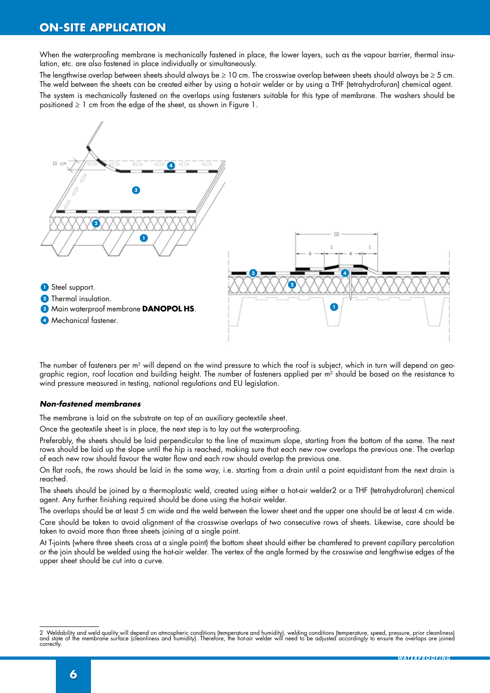When the waterproofing membrane is mechanically fastened in place, the lower layers, such as the vapour barrier, thermal insulation, etc. are also fastened in place individually or simultaneously.

The lengthwise overlap between sheets should always be  $\geq 10$  cm. The crosswise overlap between sheets should always be  $\geq 5$  cm. The weld between the sheets can be created either by using a hot-air welder or by using a THF (tetrahydrofuran) chemical agent. The system is mechanically fastened on the overlaps using fasteners suitable for this type of membrane. The washers should be positioned  $\geq 1$  cm from the edge of the sheet, as shown in Figure 1.



The number of fasteners per  $m^2$  will depend on the wind pressure to which the roof is subject, which in turn will depend on geographic region, roof location and building height. The number of fasteners applied per m<sup>2</sup> should be based on the resistance to wind pressure measured in testing, national regulations and EU legislation.

#### *Non-fastened membranes*

The membrane is laid on the substrate on top of an auxiliary geotextile sheet.

Once the geotextile sheet is in place, the next step is to lay out the waterproofing.

Preferably, the sheets should be laid perpendicular to the line of maximum slope, starting from the bottom of the same. The next rows should be laid up the slope until the hip is reached, making sure that each new row overlaps the previous one. The overlap of each new row should favour the water flow and each row should overlap the previous one.

On flat roofs, the rows should be laid in the same way, i.e. starting from a drain until a point equidistant from the next drain is reached.

The sheets should be joined by a thermoplastic weld, created using either a hot-air welder2 or a THF (tetrahydrofuran) chemical agent. Any further finishing required should be done using the hot-air welder.

The overlaps should be at least 5 cm wide and the weld between the lower sheet and the upper one should be at least 4 cm wide.

Care should be taken to avoid alignment of the crosswise overlaps of two consecutive rows of sheets. Likewise, care should be taken to avoid more than three sheets joining at a single point.

At T-joints (where three sheets cross at a single point) the bottom sheet should either be chamfered to prevent capillary percolation or the join should be welded using the hot-air welder. The vertex of the angle formed by the crosswise and lengthwise edges of the upper sheet should be cut into a curve.

<sup>2</sup> Weldability and weld quality will depend on atmospheric conditions (temperature and humidity), welding conditions (temperature, speed, pressure, prior cleanliness)<br>and state of the membrane surface (cleanliness and humid correctly.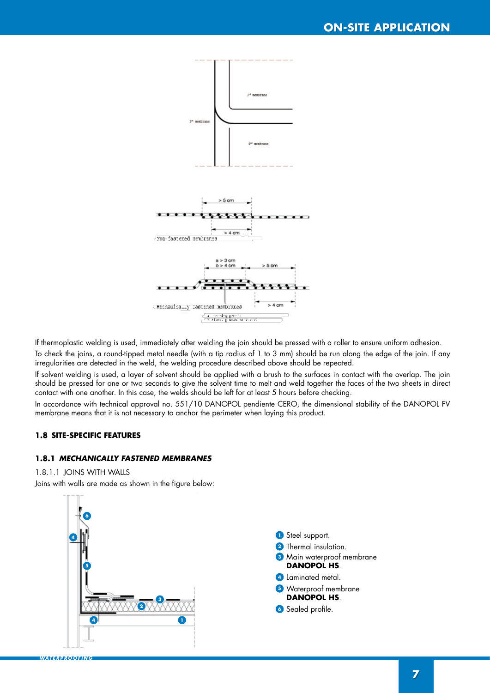

If thermoplastic welding is used, immediately after welding the join should be pressed with a roller to ensure uniform adhesion.

To check the joins, a round-tipped metal needle (with a tip radius of 1 to 3 mm) should be run along the edge of the join. If any irregularities are detected in the weld, the welding procedure described above should be repeated.

If solvent welding is used, a layer of solvent should be applied with a brush to the surfaces in contact with the overlap. The join should be pressed for one or two seconds to give the solvent time to melt and weld together the faces of the two sheets in direct contact with one another. In this case, the welds should be left for at least 5 hours before checking.

In accordance with technical approval no. 551/10 DANOPOL pendiente CERO, the dimensional stability of the DANOPOL FV membrane means that it is not necessary to anchor the perimeter when laying this product.

# **1.8 SITE-SPECIFIC FEATURES**

#### **1.8.1** *MECHANICALLY FASTENED MEMBRANES*

#### 1.8.1.1 JOINS WITH WALLS

*WATERPROOFING*

Joins with walls are made as shown in the figure below:

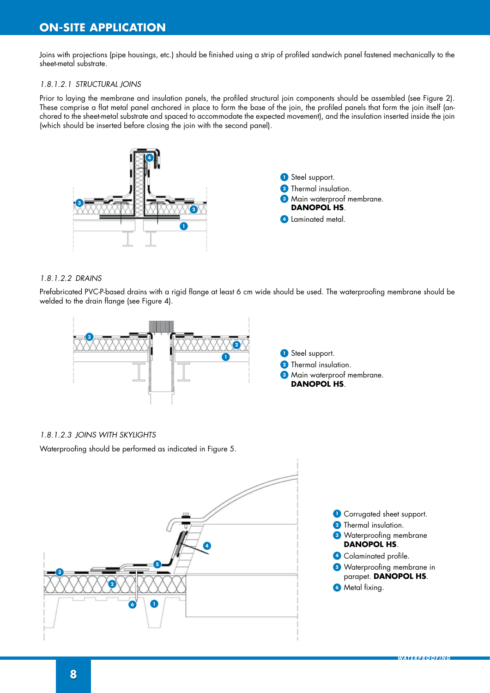Joins with projections (pipe housings, etc.) should be finished using a strip of profiled sandwich panel fastened mechanically to the sheet-metal substrate.

#### *1.8.1.2.1 STRUCTURAL JOINS*

Prior to laying the membrane and insulation panels, the profiled structural join components should be assembled (see Figure 2). These comprise a flat metal panel anchored in place to form the base of the join, the profiled panels that form the join itself (anchored to the sheet-metal substrate and spaced to accommodate the expected movement), and the insulation inserted inside the join (which should be inserted before closing the join with the second panel).



#### *1.8.1.2.2 DRAINS*

Prefabricated PVC-P-based drains with a rigid flange at least 6 cm wide should be used. The waterproofing membrane should be welded to the drain flange (see Figure 4).



#### *1.8.1.2.3 JOINS WITH SKYLIGHTS*

Waterproofing should be performed as indicated in Figure 5.

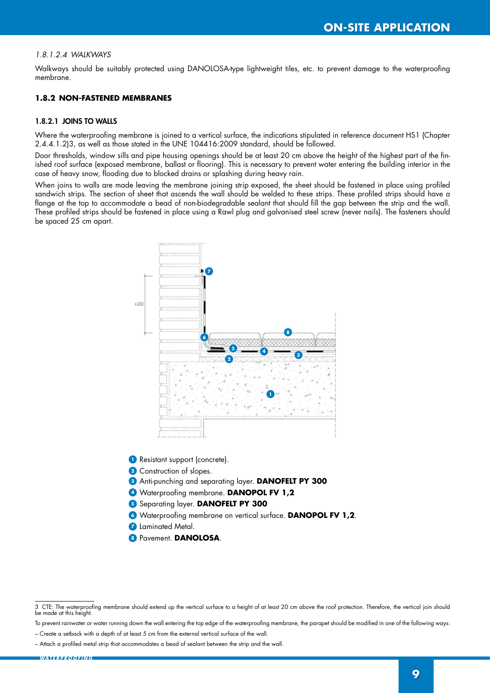#### *1.8.1.2.4 WALKWAYS*

Walkways should be suitably protected using DANOLOSA-type lightweight tiles, etc. to prevent damage to the waterproofing membrane.

#### **1.8.2 NON-FASTENED MEMBRANES**

#### 1.8.2.1 JOINS TO WALLS

Where the waterproofing membrane is joined to a vertical surface, the indications stipulated in reference document HS1 (Chapter 2.4.4.1.2)3, as well as those stated in the UNE 104416:2009 standard, should be followed.

Door thresholds, window sills and pipe housing openings should be at least 20 cm above the height of the highest part of the finished roof surface (exposed membrane, ballast or flooring). This is necessary to prevent water entering the building interior in the case of heavy snow, flooding due to blocked drains or splashing during heavy rain.

When joins to walls are made leaving the membrane joining strip exposed, the sheet should be fastened in place using profiled sandwich strips. The section of sheet that ascends the wall should be welded to these strips. These profiled strips should have a flange at the top to accommodate a bead of non-biodegradable sealant that should fill the gap between the strip and the wall. These profiled strips should be fastened in place using a Rawl plug and galvanised steel screw (never nails). The fasteners should be spaced 25 cm apart.



**1** Resistant support (concrete).

**2** Construction of slopes.

- **<sup>3</sup>** Anti-punching and separating layer. **DANOFELT PY 300**
- **<sup>4</sup>** Waterproofing membrane. **DANOPOL FV 1,2**
- **5** Separating layer. DANOFELT PY 300
- **<sup>6</sup>** Waterproofing membrane on vertical surface. **DANOPOL FV 1,2**.
- **<sup>7</sup>** Laminated Metal.
- **<sup>8</sup>** Pavement. **DANOLOSA**.

<sup>3</sup> CTE: The waterproofing membrane should extend up the vertical surface to a height of at least 20 cm above the roof protection. Therefore, the vertical join should be made at this height.

To prevent rainwater or water running down the wall entering the top edge of the waterproofing membrane, the parapet should be modified in one of the following ways: – Create a setback with a depth of at least 5 cm from the external vertical surface of the wall.

<sup>–</sup> Attach a profiled metal strip that accommodates a bead of sealant between the strip and the wall.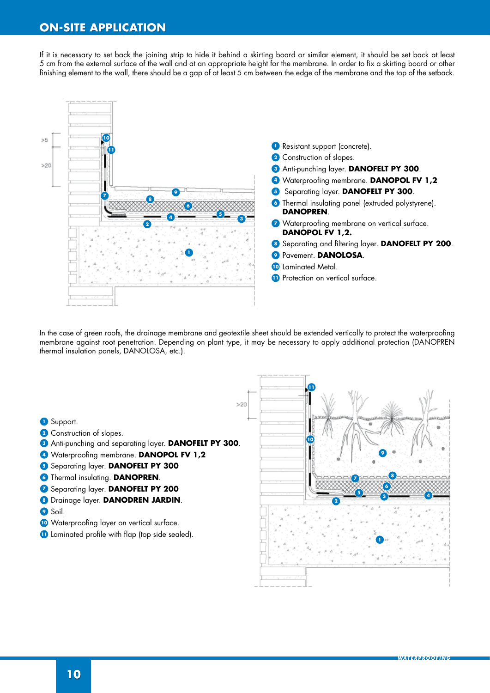If it is necessary to set back the joining strip to hide it behind a skirting board or similar element, it should be set back at least 5 cm from the external surface of the wall and at an appropriate height for the membrane. In order to fix a skirting board or other finishing element to the wall, there should be a gap of at least 5 cm between the edge of the membrane and the top of the setback.



In the case of green roofs, the drainage membrane and geotextile sheet should be extended vertically to protect the waterproofing membrane against root penetration. Depending on plant type, it may be necessary to apply additional protection (DANOPREN thermal insulation panels, DANOLOSA, etc.).

- Support.
- Construction of slopes.
- Anti-punching and separating layer. **DANOFELT PY 300**.
- Waterproofing membrane. **DANOPOL FV 1,2**
- Separating layer. **DANOFELT PY 300**
- Thermal insulating. **DANOPREN**.
- Separating layer. **DANOFELT PY 200**
- Drainage layer. **DANODREN JARDIN**.
- Soil.
- Waterproofing layer on vertical surface.
- Laminated profile with flap (top side sealed).

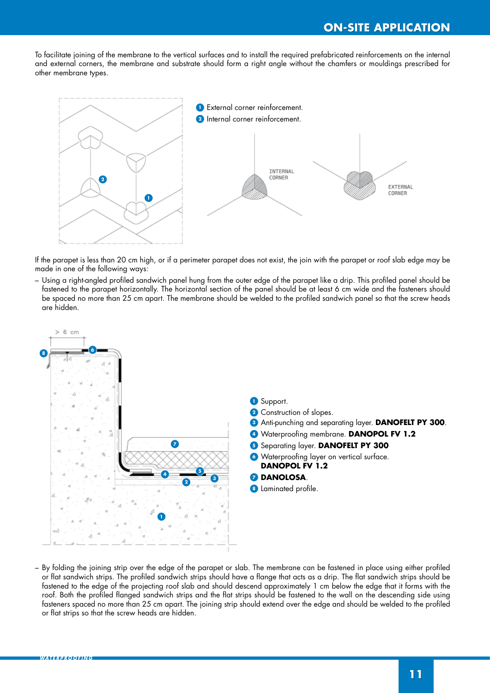To facilitate joining of the membrane to the vertical surfaces and to install the required prefabricated reinforcements on the internal and external corners, the membrane and substrate should form a right angle without the chamfers or mouldings prescribed for other membrane types.



If the parapet is less than 20 cm high, or if a perimeter parapet does not exist, the join with the parapet or roof slab edge may be made in one of the following ways:

– Using a right-angled profiled sandwich panel hung from the outer edge of the parapet like a drip. This profiled panel should be fastened to the parapet horizontally. The horizontal section of the panel should be at least 6 cm wide and the fasteners should be spaced no more than 25 cm apart. The membrane should be welded to the profiled sandwich panel so that the screw heads are hidden.



– By folding the joining strip over the edge of the parapet or slab. The membrane can be fastened in place using either profiled or flat sandwich strips. The profiled sandwich strips should have a flange that acts as a drip. The flat sandwich strips should be fastened to the edge of the projecting roof slab and should descend approximately 1 cm below the edge that it forms with the roof. Both the profiled flanged sandwich strips and the flat strips should be fastened to the wall on the descending side using fasteners spaced no more than 25 cm apart. The joining strip should extend over the edge and should be welded to the profiled or flat strips so that the screw heads are hidden.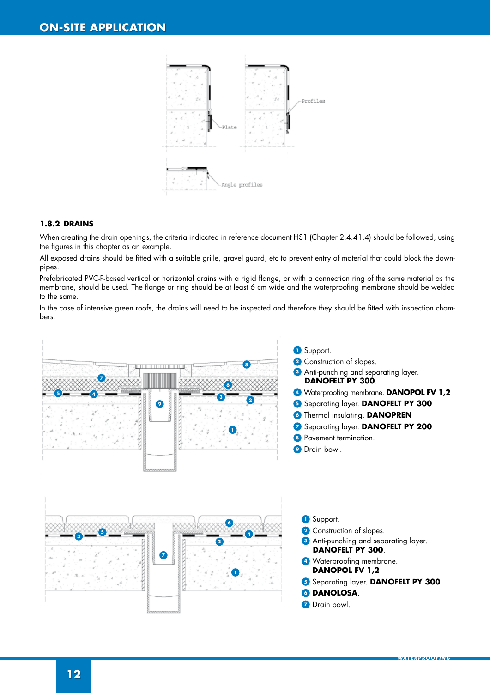

#### **1.8.2 DRAINS**

When creating the drain openings, the criteria indicated in reference document HS1 (Chapter 2.4.41.4) should be followed, using the figures in this chapter as an example.

All exposed drains should be fitted with a suitable grille, gravel guard, etc to prevent entry of material that could block the downpipes.

Prefabricated PVC-P-based vertical or horizontal drains with a rigid flange, or with a connection ring of the same material as the membrane, should be used. The flange or ring should be at least 6 cm wide and the waterproofing membrane should be welded to the same.

In the case of intensive green roofs, the drains will need to be inspected and therefore they should be fitted with inspection chambers.

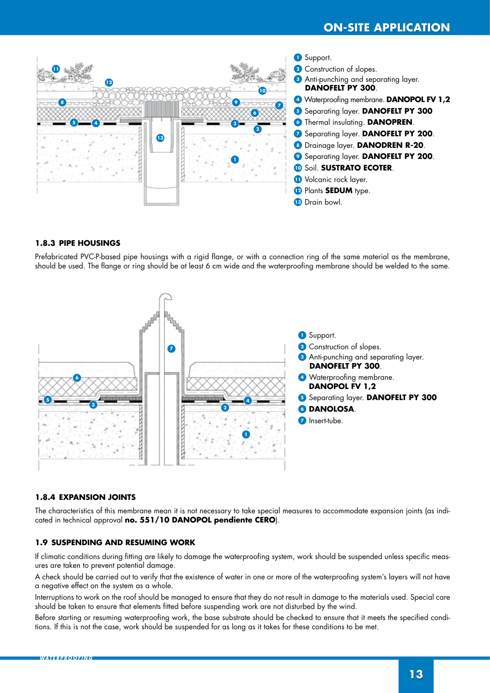

#### **1.8.3 PIPE HOUSINGS**

Prefabricated PVC-P-based pipe housings with a rigid flange, or with a connection ring of the same material as the membrane, should be used. The flange or ring should be at least 6 cm wide and the waterproofing membrane should be welded to the same.



#### **1.8.4 EXPANSION JOINTS**

The characteristics of this membrane mean it is not necessary to take special measures to accommodate expansion joints (as indicated in technical approval **no. 551/10 DANOPOL pendiente CERO**).

#### **1.9 SUSPENDING AND RESUMING WORK**

If climatic conditions during fitting are likely to damage the waterproofing system, work should be suspended unless specific measures are taken to prevent potential damage.

A check should be carried out to verify that the existence of water in one or more of the waterproofing system's layers will not have a negative effect on the system as a whole.

Interruptions to work on the roof should be managed to ensure that they do not result in damage to the materials used. Special care should be taken to ensure that elements fitted before suspending work are not disturbed by the wind.

Before starting or resuming waterproofing work, the base substrate should be checked to ensure that it meets the specified conditions. If this is not the case, work should be suspended for as long as it takes for these conditions to be met.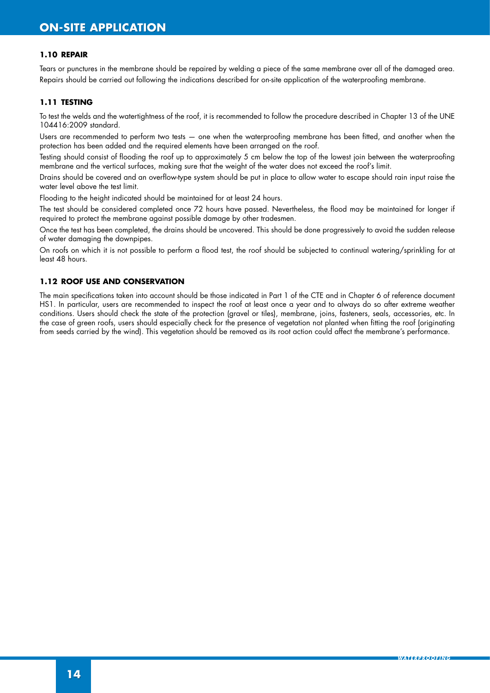#### **1.10 REPAIR**

Tears or punctures in the membrane should be repaired by welding a piece of the same membrane over all of the damaged area. Repairs should be carried out following the indications described for on-site application of the waterproofing membrane.

#### **1.11 TESTING**

To test the welds and the watertightness of the roof, it is recommended to follow the procedure described in Chapter 13 of the UNE 104416:2009 standard.

Users are recommended to perform two tests — one when the waterproofing membrane has been fitted, and another when the protection has been added and the required elements have been arranged on the roof.

Testing should consist of flooding the roof up to approximately 5 cm below the top of the lowest join between the waterproofing membrane and the vertical surfaces, making sure that the weight of the water does not exceed the roof's limit.

Drains should be covered and an overflow-type system should be put in place to allow water to escape should rain input raise the water level above the test limit.

Flooding to the height indicated should be maintained for at least 24 hours.

The test should be considered completed once 72 hours have passed. Nevertheless, the flood may be maintained for longer if required to protect the membrane against possible damage by other tradesmen.

Once the test has been completed, the drains should be uncovered. This should be done progressively to avoid the sudden release of water damaging the downpipes.

On roofs on which it is not possible to perform a flood test, the roof should be subjected to continual watering/sprinkling for at least 48 hours.

#### **1.12 ROOF USE AND CONSERVATION**

The main specifications taken into account should be those indicated in Part 1 of the CTE and in Chapter 6 of reference document HS1. In particular, users are recommended to inspect the roof at least once a year and to always do so after extreme weather conditions. Users should check the state of the protection (gravel or tiles), membrane, joins, fasteners, seals, accessories, etc. In the case of green roofs, users should especially check for the presence of vegetation not planted when fitting the roof (originating from seeds carried by the wind). This vegetation should be removed as its root action could affect the membrane's performance.